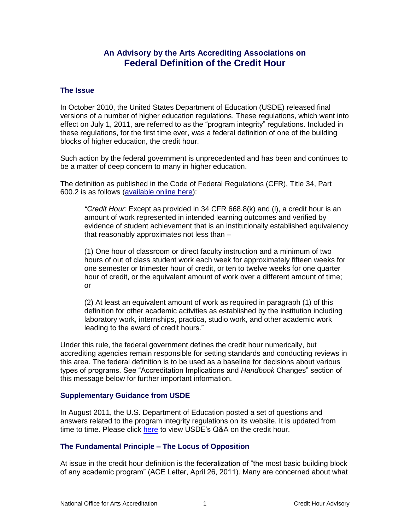# **An Advisory by the Arts Accrediting Associations on Federal Definition of the Credit Hour**

### **The Issue**

In October 2010, the United States Department of Education (USDE) released final versions of a number of higher education regulations. These regulations, which went into effect on July 1, 2011, are referred to as the "program integrity" regulations. Included in these regulations, for the first time ever, was a federal definition of one of the building blocks of higher education, the credit hour.

Such action by the federal government is unprecedented and has been and continues to be a matter of deep concern to many in higher education.

The definition as published in the Code of Federal Regulations (CFR), Title 34, Part 600.2 is as follows [\(available online here\)](http://www.ecfr.gov/cgi-bin/text-idx?SID=ae813138f65c93bd81a17b66d59d067d&mc=true&node=pt34.3.600&rgn=div5#se34.3.600_12):

*"Credit Hour:* Except as provided in 34 CFR 668.8(k) and (l), a credit hour is an amount of work represented in intended learning outcomes and verified by evidence of student achievement that is an institutionally established equivalency that reasonably approximates not less than –

(1) One hour of classroom or direct faculty instruction and a minimum of two hours of out of class student work each week for approximately fifteen weeks for one semester or trimester hour of credit, or ten to twelve weeks for one quarter hour of credit, or the equivalent amount of work over a different amount of time; or

(2) At least an equivalent amount of work as required in paragraph (1) of this definition for other academic activities as established by the institution including laboratory work, internships, practica, studio work, and other academic work leading to the award of credit hours."

Under this rule, the federal government defines the credit hour numerically, but accrediting agencies remain responsible for setting standards and conducting reviews in this area. The federal definition is to be used as a baseline for decisions about various types of programs. See "Accreditation Implications and *Handbook* Changes" section of this message below for further important information.

### **Supplementary Guidance from USDE**

In August 2011, the U.S. Department of Education posted a set of questions and answers related to the program integrity regulations on its website. It is updated from time to time. Please click [here](http://www2.ed.gov/policy/highered/reg/hearulemaking/2009/credit.html) to view USDE's Q&A on the credit hour.

### **The Fundamental Principle – The Locus of Opposition**

At issue in the credit hour definition is the federalization of "the most basic building block of any academic program" (ACE Letter, April 26, 2011). Many are concerned about what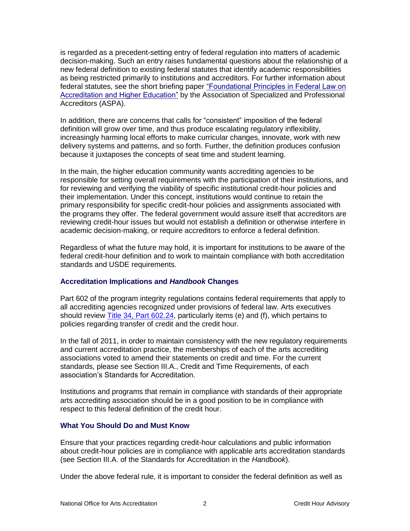is regarded as a precedent-setting entry of federal regulation into matters of academic decision-making. Such an entry raises fundamental questions about the relationship of a new federal definition to existing federal statutes that identify academic responsibilities as being restricted primarily to institutions and accreditors. For further information about federal statutes, see the short briefing paper ["Foundational Principles in Federal Law on](http://www.aspa-usa.org/sites/default/files/Federal%20Principles%20and%20Accreditation.pdf)  [Accreditation and Higher Education"](http://www.aspa-usa.org/sites/default/files/Federal%20Principles%20and%20Accreditation.pdf) by the Association of Specialized and Professional Accreditors (ASPA).

In addition, there are concerns that calls for "consistent" imposition of the federal definition will grow over time, and thus produce escalating regulatory inflexibility, increasingly harming local efforts to make curricular changes, innovate, work with new delivery systems and patterns, and so forth. Further, the definition produces confusion because it juxtaposes the concepts of seat time and student learning.

In the main, the higher education community wants accrediting agencies to be responsible for setting overall requirements with the participation of their institutions, and for reviewing and verifying the viability of specific institutional credit-hour policies and their implementation. Under this concept, institutions would continue to retain the primary responsibility for specific credit-hour policies and assignments associated with the programs they offer. The federal government would assure itself that accreditors are reviewing credit-hour issues but would not establish a definition or otherwise interfere in academic decision-making, or require accreditors to enforce a federal definition.

Regardless of what the future may hold, it is important for institutions to be aware of the federal credit-hour definition and to work to maintain compliance with both accreditation standards and USDE requirements.

## **Accreditation Implications and** *Handbook* **Changes**

Part 602 of the program integrity regulations contains federal requirements that apply to all accrediting agencies recognized under provisions of federal law. Arts executives should review **Title 34, Part 602.24**, particularly items (e) and (f), which pertains to policies regarding transfer of credit and the credit hour.

In the fall of 2011, in order to maintain consistency with the new regulatory requirements and current accreditation practice, the memberships of each of the arts accrediting associations voted to amend their statements on credit and time. For the current standards, please see Section III.A., Credit and Time Requirements, of each association's Standards for Accreditation.

Institutions and programs that remain in compliance with standards of their appropriate arts accrediting association should be in a good position to be in compliance with respect to this federal definition of the credit hour.

## **What You Should Do and Must Know**

Ensure that your practices regarding credit-hour calculations and public information about credit-hour policies are in compliance with applicable arts accreditation standards (see Section III.A. of the Standards for Accreditation in the *Handbook*).

Under the above federal rule, it is important to consider the federal definition as well as